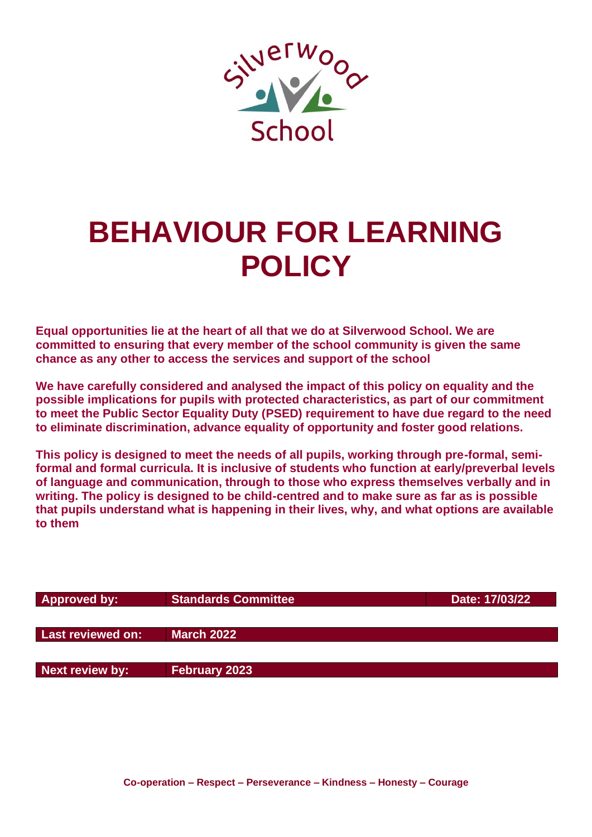

# **BEHAVIOUR FOR LEARNING POLICY**

**Equal opportunities lie at the heart of all that we do at Silverwood School. We are committed to ensuring that every member of the school community is given the same chance as any other to access the services and support of the school**

**We have carefully considered and analysed the impact of this policy on equality and the possible implications for pupils with protected characteristics, as part of our commitment to meet the Public Sector Equality Duty (PSED) requirement to have due regard to the need to eliminate discrimination, advance equality of opportunity and foster good relations.**

**This policy is designed to meet the needs of all pupils, working through pre-formal, semiformal and formal curricula. It is inclusive of students who function at early/preverbal levels of language and communication, through to those who express themselves verbally and in writing. The policy is designed to be child-centred and to make sure as far as is possible that pupils understand what is happening in their lives, why, and what options are available to them**

| <b>Approved by:</b> | Standards Committee  | Date: 17/03/22 |
|---------------------|----------------------|----------------|
|                     |                      |                |
| Last reviewed on:   | <b>March 2022</b>    |                |
|                     |                      |                |
| Next review by:     | <b>February 2023</b> |                |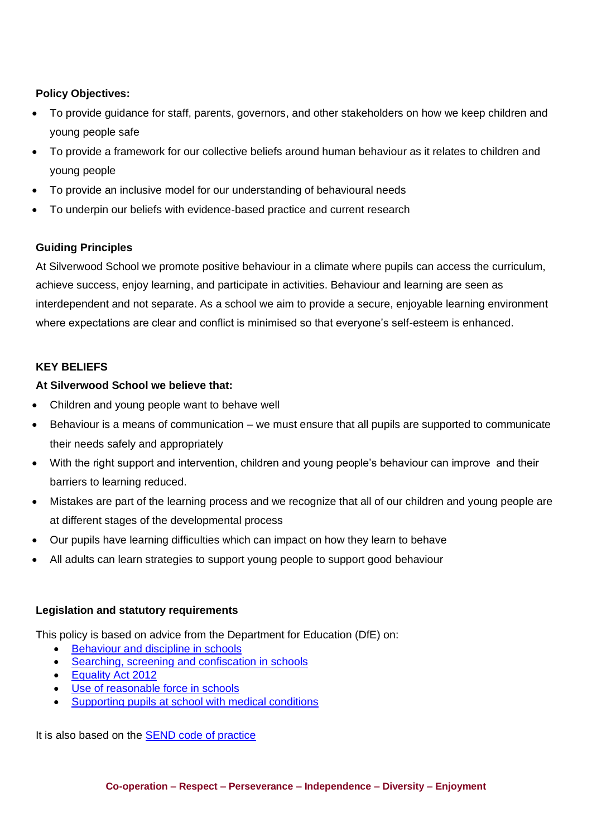# **Policy Objectives:**

- To provide guidance for staff, parents, governors, and other stakeholders on how we keep children and young people safe
- To provide a framework for our collective beliefs around human behaviour as it relates to children and young people
- To provide an inclusive model for our understanding of behavioural needs
- To underpin our beliefs with evidence-based practice and current research

# **Guiding Principles**

At Silverwood School we promote positive behaviour in a climate where pupils can access the curriculum, achieve success, enjoy learning, and participate in activities. Behaviour and learning are seen as interdependent and not separate. As a school we aim to provide a secure, enjoyable learning environment where expectations are clear and conflict is minimised so that everyone's self-esteem is enhanced.

## **KEY BELIEFS**

## **At Silverwood School we believe that:**

- Children and young people want to behave well
- Behaviour is a means of communication we must ensure that all pupils are supported to communicate their needs safely and appropriately
- With the right support and intervention, children and young people's behaviour can improve and their barriers to learning reduced.
- Mistakes are part of the learning process and we recognize that all of our children and young people are at different stages of the developmental process
- Our pupils have learning difficulties which can impact on how they learn to behave
- All adults can learn strategies to support young people to support good behaviour

## **Legislation and statutory requirements**

This policy is based on advice from the Department for Education (DfE) on:

- [Behaviour and discipline in schools](https://www.gov.uk/government/publications/behaviour-and-discipline-in-schools)
- [Searching, screening and confiscation in schools](https://www.gov.uk/government/publications/searching-screening-and-confiscation)
- [Equality Act 2012](https://www.gov.uk/government/publications/equality-act-2010-advice-for-schools)
- [Use of reasonable force in schools](https://www.gov.uk/government/publications/use-of-reasonable-force-in-schools)
- [Supporting pupils at school with medical conditions](https://www.gov.uk/government/publications/supporting-pupils-at-school-with-medical-conditions--3)

It is also based on the [SEND code of practice](https://www.gov.uk/government/publications/send-code-of-practice-0-to-25)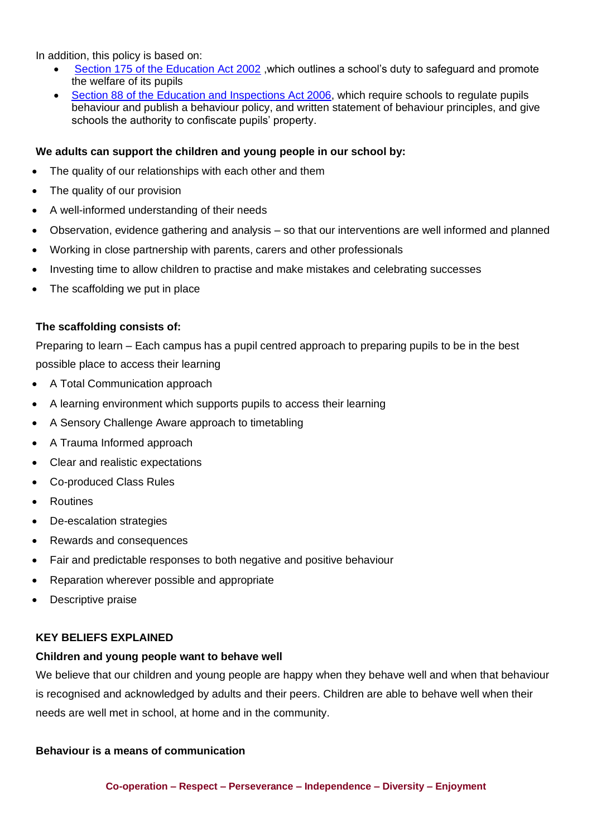In addition, this policy is based on:

- [Section 175 of the Education Act 2002](https://www.legislation.gov.uk/ukpga/2002/32/section/175), which outlines a school's duty to safeguard and promote the welfare of its pupils
- [Section 88 of the Education and Inspections Act 2006,](https://www.legislation.gov.uk/ukpga/2006/40/section/88) which require schools to regulate pupils behaviour and publish a behaviour policy, and written statement of behaviour principles, and give schools the authority to confiscate pupils' property.

## **We adults can support the children and young people in our school by:**

- The quality of our relationships with each other and them
- The quality of our provision
- A well-informed understanding of their needs
- Observation, evidence gathering and analysis so that our interventions are well informed and planned
- Working in close partnership with parents, carers and other professionals
- Investing time to allow children to practise and make mistakes and celebrating successes
- The scaffolding we put in place

## **The scaffolding consists of:**

Preparing to learn – Each campus has a pupil centred approach to preparing pupils to be in the best possible place to access their learning

- A Total Communication approach
- A learning environment which supports pupils to access their learning
- A Sensory Challenge Aware approach to timetabling
- A Trauma Informed approach
- Clear and realistic expectations
- Co-produced Class Rules
- **Routines**
- De-escalation strategies
- Rewards and consequences
- Fair and predictable responses to both negative and positive behaviour
- Reparation wherever possible and appropriate
- Descriptive praise

## **KEY BELIEFS EXPLAINED**

## **Children and young people want to behave well**

We believe that our children and young people are happy when they behave well and when that behaviour is recognised and acknowledged by adults and their peers. Children are able to behave well when their needs are well met in school, at home and in the community.

## **Behaviour is a means of communication**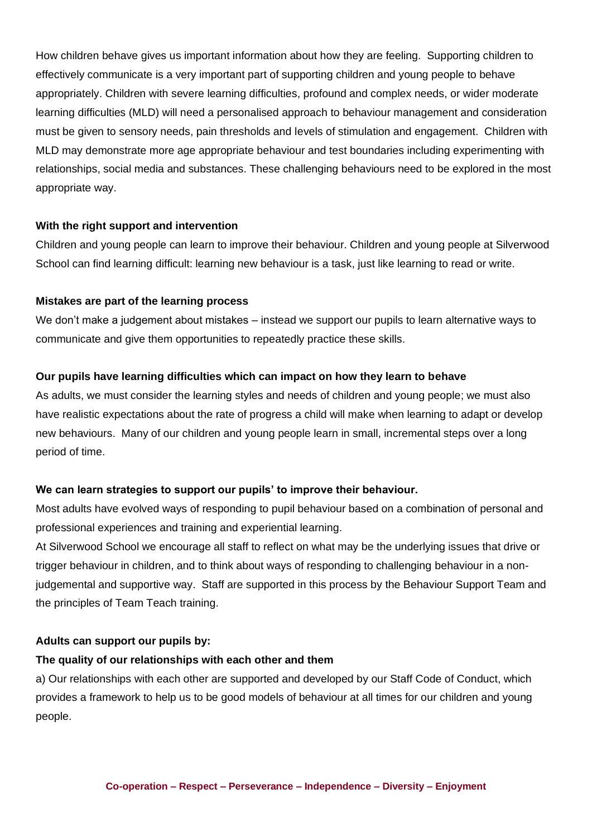How children behave gives us important information about how they are feeling. Supporting children to effectively communicate is a very important part of supporting children and young people to behave appropriately. Children with severe learning difficulties, profound and complex needs, or wider moderate learning difficulties (MLD) will need a personalised approach to behaviour management and consideration must be given to sensory needs, pain thresholds and levels of stimulation and engagement. Children with MLD may demonstrate more age appropriate behaviour and test boundaries including experimenting with relationships, social media and substances. These challenging behaviours need to be explored in the most appropriate way.

## **With the right support and intervention**

Children and young people can learn to improve their behaviour. Children and young people at Silverwood School can find learning difficult: learning new behaviour is a task, just like learning to read or write.

## **Mistakes are part of the learning process**

We don't make a judgement about mistakes – instead we support our pupils to learn alternative ways to communicate and give them opportunities to repeatedly practice these skills.

## **Our pupils have learning difficulties which can impact on how they learn to behave**

As adults, we must consider the learning styles and needs of children and young people; we must also have realistic expectations about the rate of progress a child will make when learning to adapt or develop new behaviours. Many of our children and young people learn in small, incremental steps over a long period of time.

## **We can learn strategies to support our pupils' to improve their behaviour.**

Most adults have evolved ways of responding to pupil behaviour based on a combination of personal and professional experiences and training and experiential learning.

At Silverwood School we encourage all staff to reflect on what may be the underlying issues that drive or trigger behaviour in children, and to think about ways of responding to challenging behaviour in a nonjudgemental and supportive way. Staff are supported in this process by the Behaviour Support Team and the principles of Team Teach training.

## **Adults can support our pupils by:**

## **The quality of our relationships with each other and them**

a) Our relationships with each other are supported and developed by our Staff Code of Conduct, which provides a framework to help us to be good models of behaviour at all times for our children and young people.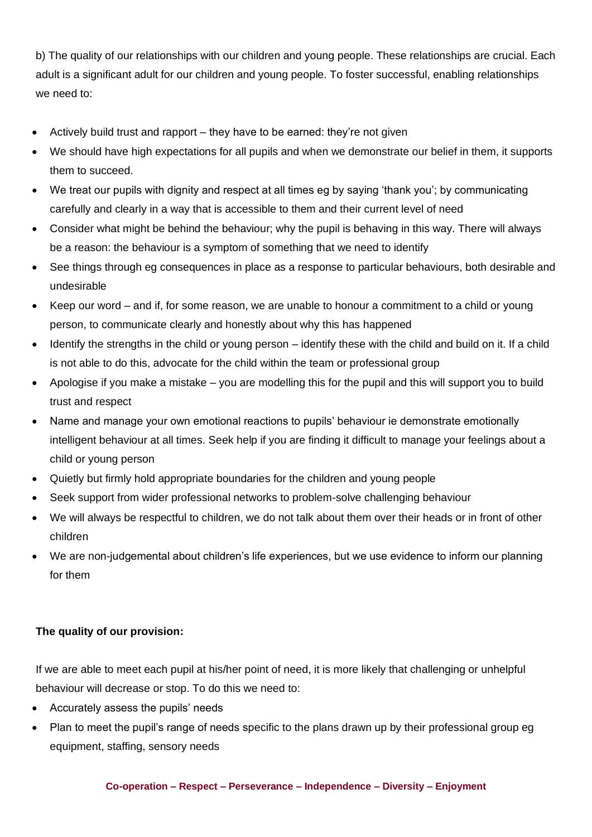b) The quality of our relationships with our children and young people. These relationships are crucial. Each adult is a significant adult for our children and young people. To foster successful, enabling relationships we need to:

- Actively build trust and rapport they have to be earned: they're not given
- We should have high expectations for all pupils and when we demonstrate our belief in them, it supports them to succeed.
- We treat our pupils with dignity and respect at all times eg by saying 'thank you'; by communicating carefully and clearly in a way that is accessible to them and their current level of need
- Consider what might be behind the behaviour; why the pupil is behaving in this way. There will always be a reason: the behaviour is a symptom of something that we need to identify
- See things through eg consequences in place as a response to particular behaviours, both desirable and undesirable
- Keep our word and if, for some reason, we are unable to honour a commitment to a child or young person, to communicate clearly and honestly about why this has happened
- Identify the strengths in the child or young person identify these with the child and build on it. If a child is not able to do this, advocate for the child within the team or professional group
- Apologise if you make a mistake you are modelling this for the pupil and this will support you to build trust and respect
- Name and manage your own emotional reactions to pupils' behaviour ie demonstrate emotionally intelligent behaviour at all times. Seek help if you are finding it difficult to manage your feelings about a child or young person
- Quietly but firmly hold appropriate boundaries for the children and young people
- Seek support from wider professional networks to problem-solve challenging behaviour
- We will always be respectful to children, we do not talk about them over their heads or in front of other children
- We are non-judgemental about children's life experiences, but we use evidence to inform our planning for them

# **The quality of our provision:**

If we are able to meet each pupil at his/her point of need, it is more likely that challenging or unhelpful behaviour will decrease or stop. To do this we need to:

- Accurately assess the pupils' needs
- Plan to meet the pupil's range of needs specific to the plans drawn up by their professional group eg equipment, staffing, sensory needs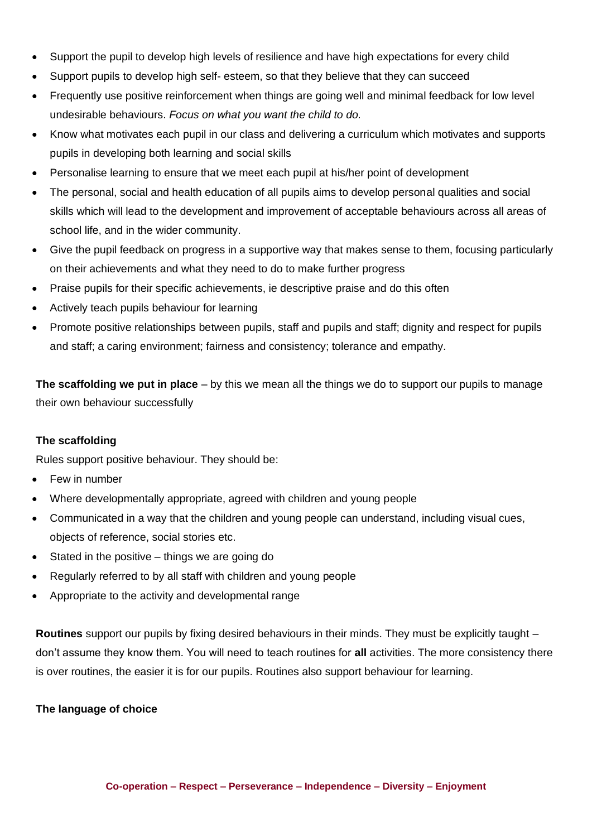- Support the pupil to develop high levels of resilience and have high expectations for every child
- Support pupils to develop high self- esteem, so that they believe that they can succeed
- Frequently use positive reinforcement when things are going well and minimal feedback for low level undesirable behaviours. *Focus on what you want the child to do.*
- Know what motivates each pupil in our class and delivering a curriculum which motivates and supports pupils in developing both learning and social skills
- Personalise learning to ensure that we meet each pupil at his/her point of development
- The personal, social and health education of all pupils aims to develop personal qualities and social skills which will lead to the development and improvement of acceptable behaviours across all areas of school life, and in the wider community.
- Give the pupil feedback on progress in a supportive way that makes sense to them, focusing particularly on their achievements and what they need to do to make further progress
- Praise pupils for their specific achievements, ie descriptive praise and do this often
- Actively teach pupils behaviour for learning
- Promote positive relationships between pupils, staff and pupils and staff; dignity and respect for pupils and staff; a caring environment; fairness and consistency; tolerance and empathy.

**The scaffolding we put in place** – by this we mean all the things we do to support our pupils to manage their own behaviour successfully

## **The scaffolding**

Rules support positive behaviour. They should be:

- Few in number
- Where developmentally appropriate, agreed with children and young people
- Communicated in a way that the children and young people can understand, including visual cues, objects of reference, social stories etc.
- Stated in the positive things we are going do
- Regularly referred to by all staff with children and young people
- Appropriate to the activity and developmental range

**Routines** support our pupils by fixing desired behaviours in their minds. They must be explicitly taught – don't assume they know them. You will need to teach routines for **all** activities. The more consistency there is over routines, the easier it is for our pupils. Routines also support behaviour for learning.

## **The language of choice**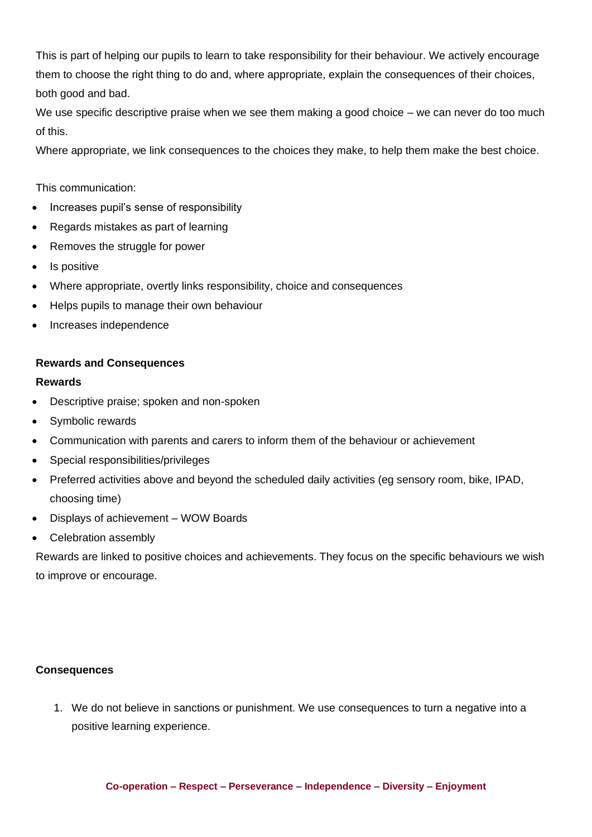This is part of helping our pupils to learn to take responsibility for their behaviour. We actively encourage them to choose the right thing to do and, where appropriate, explain the consequences of their choices, both good and bad.

We use specific descriptive praise when we see them making a good choice – we can never do too much of this.

Where appropriate, we link consequences to the choices they make, to help them make the best choice.

This communication:

- Increases pupil's sense of responsibility
- Regards mistakes as part of learning
- Removes the struggle for power
- Is positive
- Where appropriate, overtly links responsibility, choice and consequences
- Helps pupils to manage their own behaviour
- Increases independence

## **Rewards and Consequences**

#### **Rewards**

- Descriptive praise; spoken and non-spoken
- Symbolic rewards
- Communication with parents and carers to inform them of the behaviour or achievement
- Special responsibilities/privileges
- Preferred activities above and beyond the scheduled daily activities (eg sensory room, bike, IPAD, choosing time)
- Displays of achievement WOW Boards
- Celebration assembly

Rewards are linked to positive choices and achievements. They focus on the specific behaviours we wish to improve or encourage.

## **Consequences**

1. We do not believe in sanctions or punishment. We use consequences to turn a negative into a positive learning experience.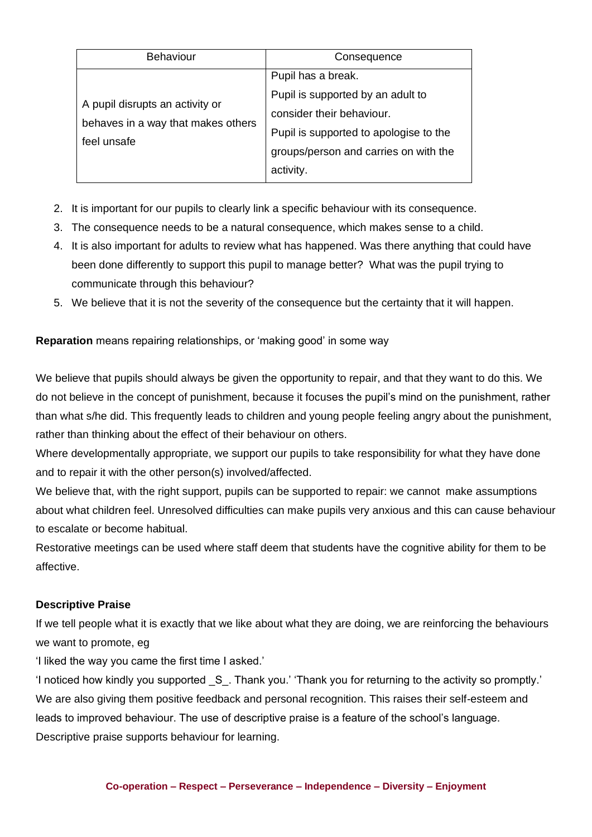| Behaviour                                                                            | Consequence                                                                                                                                                                          |
|--------------------------------------------------------------------------------------|--------------------------------------------------------------------------------------------------------------------------------------------------------------------------------------|
| A pupil disrupts an activity or<br>behaves in a way that makes others<br>feel unsafe | Pupil has a break.<br>Pupil is supported by an adult to<br>consider their behaviour.<br>Pupil is supported to apologise to the<br>groups/person and carries on with the<br>activity. |
|                                                                                      |                                                                                                                                                                                      |

- 2. It is important for our pupils to clearly link a specific behaviour with its consequence.
- 3. The consequence needs to be a natural consequence, which makes sense to a child.
- 4. It is also important for adults to review what has happened. Was there anything that could have been done differently to support this pupil to manage better? What was the pupil trying to communicate through this behaviour?
- 5. We believe that it is not the severity of the consequence but the certainty that it will happen.

# **Reparation** means repairing relationships, or 'making good' in some way

We believe that pupils should always be given the opportunity to repair, and that they want to do this. We do not believe in the concept of punishment, because it focuses the pupil's mind on the punishment, rather than what s/he did. This frequently leads to children and young people feeling angry about the punishment, rather than thinking about the effect of their behaviour on others.

Where developmentally appropriate, we support our pupils to take responsibility for what they have done and to repair it with the other person(s) involved/affected.

We believe that, with the right support, pupils can be supported to repair: we cannot make assumptions about what children feel. Unresolved difficulties can make pupils very anxious and this can cause behaviour to escalate or become habitual.

Restorative meetings can be used where staff deem that students have the cognitive ability for them to be affective.

# **Descriptive Praise**

If we tell people what it is exactly that we like about what they are doing, we are reinforcing the behaviours we want to promote, eg

'I liked the way you came the first time I asked.'

'I noticed how kindly you supported \_S\_. Thank you.' 'Thank you for returning to the activity so promptly.' We are also giving them positive feedback and personal recognition. This raises their self-esteem and leads to improved behaviour. The use of descriptive praise is a feature of the school's language. Descriptive praise supports behaviour for learning.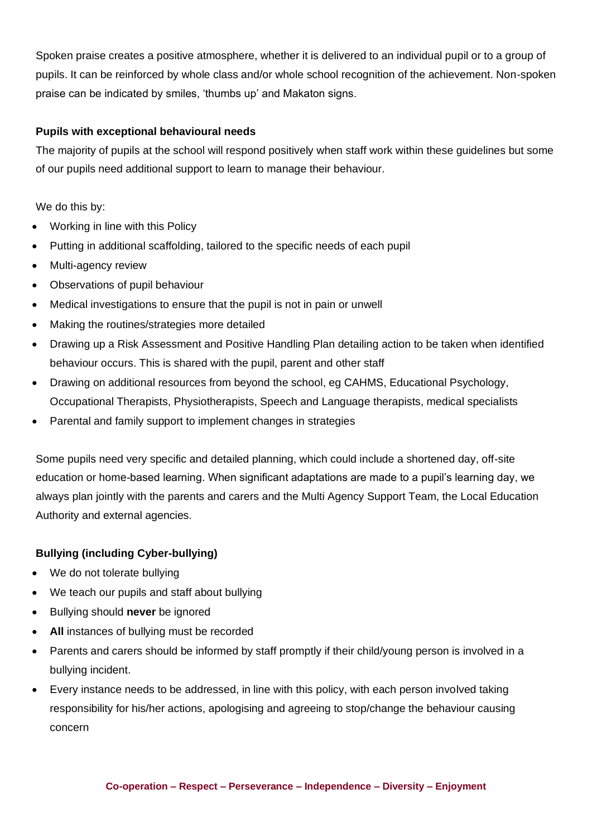Spoken praise creates a positive atmosphere, whether it is delivered to an individual pupil or to a group of pupils. It can be reinforced by whole class and/or whole school recognition of the achievement. Non-spoken praise can be indicated by smiles, 'thumbs up' and Makaton signs.

# **Pupils with exceptional behavioural needs**

The majority of pupils at the school will respond positively when staff work within these guidelines but some of our pupils need additional support to learn to manage their behaviour.

We do this by:

- Working in line with this Policy
- Putting in additional scaffolding, tailored to the specific needs of each pupil
- Multi-agency review
- Observations of pupil behaviour
- Medical investigations to ensure that the pupil is not in pain or unwell
- Making the routines/strategies more detailed
- Drawing up a Risk Assessment and Positive Handling Plan detailing action to be taken when identified behaviour occurs. This is shared with the pupil, parent and other staff
- Drawing on additional resources from beyond the school, eg CAHMS, Educational Psychology, Occupational Therapists, Physiotherapists, Speech and Language therapists, medical specialists
- Parental and family support to implement changes in strategies

Some pupils need very specific and detailed planning, which could include a shortened day, off-site education or home-based learning. When significant adaptations are made to a pupil's learning day, we always plan jointly with the parents and carers and the Multi Agency Support Team, the Local Education Authority and external agencies.

# **Bullying (including Cyber-bullying)**

- We do not tolerate bullying
- We teach our pupils and staff about bullying
- Bullying should **never** be ignored
- All instances of bullying must be recorded
- Parents and carers should be informed by staff promptly if their child/young person is involved in a bullying incident.
- Every instance needs to be addressed, in line with this policy, with each person involved taking responsibility for his/her actions, apologising and agreeing to stop/change the behaviour causing concern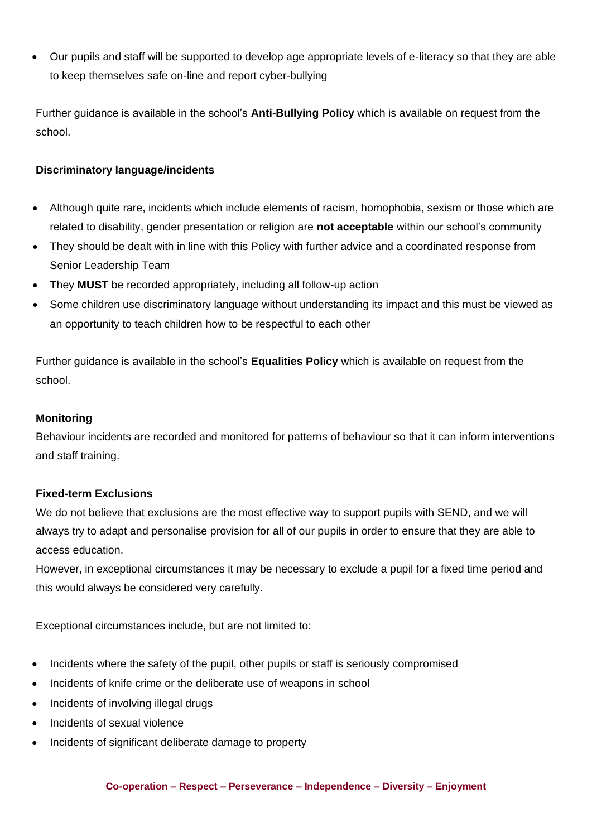• Our pupils and staff will be supported to develop age appropriate levels of e-literacy so that they are able to keep themselves safe on-line and report cyber-bullying

Further guidance is available in the school's **Anti-Bullying Policy** which is available on request from the school.

# **Discriminatory language/incidents**

- Although quite rare, incidents which include elements of racism, homophobia, sexism or those which are related to disability, gender presentation or religion are **not acceptable** within our school's community
- They should be dealt with in line with this Policy with further advice and a coordinated response from Senior Leadership Team
- They **MUST** be recorded appropriately, including all follow-up action
- Some children use discriminatory language without understanding its impact and this must be viewed as an opportunity to teach children how to be respectful to each other

Further guidance is available in the school's **Equalities Policy** which is available on request from the school.

## **Monitoring**

Behaviour incidents are recorded and monitored for patterns of behaviour so that it can inform interventions and staff training.

## **Fixed-term Exclusions**

We do not believe that exclusions are the most effective way to support pupils with SEND, and we will always try to adapt and personalise provision for all of our pupils in order to ensure that they are able to access education.

However, in exceptional circumstances it may be necessary to exclude a pupil for a fixed time period and this would always be considered very carefully.

Exceptional circumstances include, but are not limited to:

- Incidents where the safety of the pupil, other pupils or staff is seriously compromised
- Incidents of knife crime or the deliberate use of weapons in school
- Incidents of involving illegal drugs
- Incidents of sexual violence
- Incidents of significant deliberate damage to property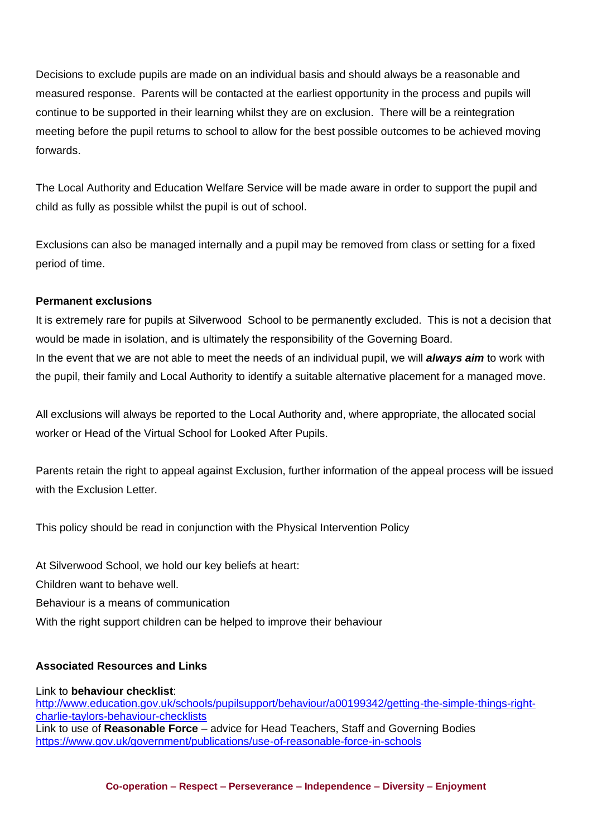Decisions to exclude pupils are made on an individual basis and should always be a reasonable and measured response. Parents will be contacted at the earliest opportunity in the process and pupils will continue to be supported in their learning whilst they are on exclusion. There will be a reintegration meeting before the pupil returns to school to allow for the best possible outcomes to be achieved moving forwards.

The Local Authority and Education Welfare Service will be made aware in order to support the pupil and child as fully as possible whilst the pupil is out of school.

Exclusions can also be managed internally and a pupil may be removed from class or setting for a fixed period of time.

# **Permanent exclusions**

It is extremely rare for pupils at Silverwood School to be permanently excluded. This is not a decision that would be made in isolation, and is ultimately the responsibility of the Governing Board. In the event that we are not able to meet the needs of an individual pupil, we will *always aim* to work with the pupil, their family and Local Authority to identify a suitable alternative placement for a managed move.

All exclusions will always be reported to the Local Authority and, where appropriate, the allocated social worker or Head of the Virtual School for Looked After Pupils.

Parents retain the right to appeal against Exclusion, further information of the appeal process will be issued with the Exclusion Letter.

This policy should be read in conjunction with the Physical Intervention Policy

At Silverwood School, we hold our key beliefs at heart:

Children want to behave well.

Behaviour is a means of communication

With the right support children can be helped to improve their behaviour

# **Associated Resources and Links**

Link to **behaviour checklist**: [http://www.education.gov.uk/schools/pupilsupport/behaviour/a00199342/getting-the-simple-things-right](http://www.education.gov.uk/schools/pupilsupport/behaviour/a00199342/getting-the-simple-things-right-charlie-taylors-behaviour-checklists)[charlie-taylors-behaviour-checklists](http://www.education.gov.uk/schools/pupilsupport/behaviour/a00199342/getting-the-simple-things-right-charlie-taylors-behaviour-checklists) Link to use of **Reasonable Force** – advice for Head Teachers, Staff and Governing Bodies <https://www.gov.uk/government/publications/use-of-reasonable-force-in-schools>